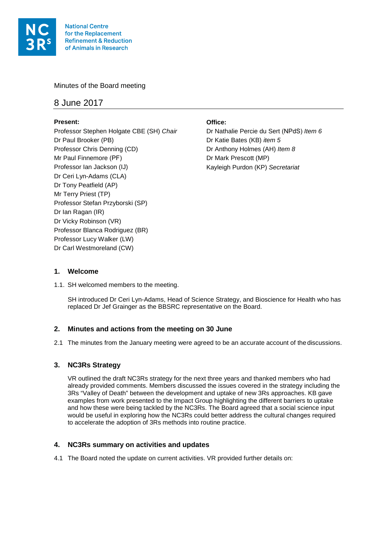

Minutes of the Board meeting

# 8 June 2017

## **Present:**

Professor Stephen Holgate CBE (SH) *Chair* Dr Paul Brooker (PB) Professor Chris Denning (CD) Mr Paul Finnemore (PF) Professor Ian Jackson (IJ) Dr Ceri Lyn-Adams (CLA) Dr Tony Peatfield (AP) Mr Terry Priest (TP) Professor Stefan Przyborski (SP) Dr Ian Ragan (IR) Dr Vicky Robinson (VR) Professor Blanca Rodriguez (BR) Professor Lucy Walker (LW) Dr Carl Westmoreland (CW)

### **Office:**

Dr Nathalie Percie du Sert (NPdS) Item 6 Dr Katie Bates (KB) *item 5* Dr Anthony Holmes (AH) *Item 8* Dr Mark Prescott (MP) Kayleigh Purdon (KP) *Secretariat*

### **1. Welcome**

1.1. SH welcomed members to the meeting.

SH introduced Dr Ceri Lyn-Adams, Head of Science Strategy, and Bioscience for Health who has replaced Dr Jef Grainger as the BBSRC representative on the Board.

## **2. Minutes and actions from the meeting on 30 June**

2.1 The minutes from the January meeting were agreed to be an accurate account of the discussions.

## **3. NC3Rs Strategy**

VR outlined the draft NC3Rs strategy for the next three years and thanked members who had already provided comments. Members discussed the issues covered in the strategy including the 3Rs "Valley of Death" between the development and uptake of new 3Rs approaches. KB gave examples from work presented to the Impact Group highlighting the different barriers to uptake and how these were being tackled by the NC3Rs. The Board agreed that a social science input would be useful in exploring how the NC3Rs could better address the cultural changes required to accelerate the adoption of 3Rs methods into routine practice.

## **4. NC3Rs summary on activities and updates**

4.1 The Board noted the update on current activities. VR provided further details on: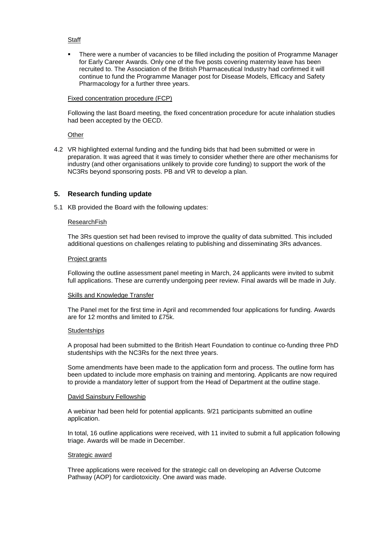#### **Staff**

 There were a number of vacancies to be filled including the position of Programme Manager for Early Career Awards. Only one of the five posts covering maternity leave has been recruited to. The Association of the British Pharmaceutical Industry had confirmed it will continue to fund the Programme Manager post for Disease Models, Efficacy and Safety Pharmacology for a further three years.

#### Fixed concentration procedure (FCP)

Following the last Board meeting, the fixed concentration procedure for acute inhalation studies had been accepted by the OECD.

**Other** 

4.2 VR highlighted external funding and the funding bids that had been submitted or were in preparation. It was agreed that it was timely to consider whether there are other mechanisms for industry (and other organisations unlikely to provide core funding) to support the work of the NC3Rs beyond sponsoring posts. PB and VR to develop a plan.

### **5. Research funding update**

5.1 KB provided the Board with the following updates:

#### ResearchFish

The 3Rs question set had been revised to improve the quality of data submitted. This included additional questions on challenges relating to publishing and disseminating 3Rs advances.

#### Project grants

Following the outline assessment panel meeting in March, 24 applicants were invited to submit full applications. These are currently undergoing peer review. Final awards will be made in July.

#### Skills and Knowledge Transfer

The Panel met for the first time in April and recommended four applications for funding. Awards are for 12 months and limited to £75k.

#### **Studentships**

A proposal had been submitted to the British Heart Foundation to continue co-funding three PhD studentships with the NC3Rs for the next three years.

Some amendments have been made to the application form and process. The outline form has been updated to include more emphasis on training and mentoring. Applicants are now required to provide a mandatory letter of support from the Head of Department at the outline stage.

#### David Sainsbury Fellowship

A webinar had been held for potential applicants. 9/21 participants submitted an outline application.

In total, 16 outline applications were received, with 11 invited to submit a full application following triage. Awards will be made in December.

#### Strategic award

Three applications were received for the strategic call on developing an Adverse Outcome Pathway (AOP) for cardiotoxicity. One award was made.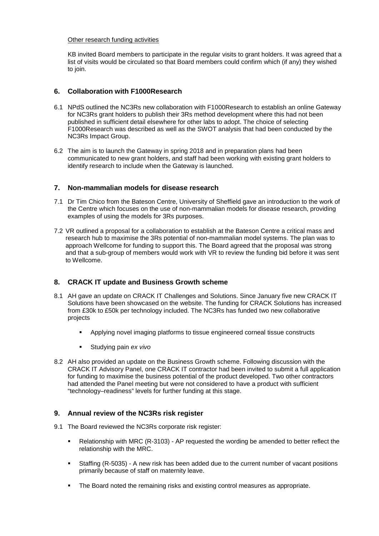#### Other research funding activities

KB invited Board members to participate in the regular visits to grant holders. It was agreed that a list of visits would be circulated so that Board members could confirm which (if any) they wished to join.

### **6. Collaboration with F1000Research**

- 6.1 NPdS outlined the NC3Rs new collaboration with F1000Research to establish an online Gateway for NC3Rs grant holders to publish their 3Rs method development where this had not been published in sufficient detail elsewhere for other labs to adopt. The choice of selecting F1000Research was described as well as the SWOT analysis that had been conducted by the NC3Rs Impact Group.
- 6.2 The aim is to launch the Gateway in spring 2018 and in preparation plans had been communicated to new grant holders, and staff had been working with existing grant holders to identify research to include when the Gateway is launched.

### **7. Non-mammalian models for disease research**

- 7.1 Dr Tim Chico from the Bateson Centre, University of Sheffield gave an introduction to the work of the Centre which focuses on the use of non-mammalian models for disease research, providing examples of using the models for 3Rs purposes.
- 7.2 VR outlined a proposal for a collaboration to establish at the Bateson Centre a critical mass and research hub to maximise the 3Rs potential of non-mammalian model systems. The plan was to approach Wellcome for funding to support this. The Board agreed that the proposal was strong and that a sub-group of members would work with VR to review the funding bid before it was sent to Wellcome.

## **8. CRACK IT update and Business Growth scheme**

- 8.1 AH gave an update on CRACK IT Challenges and Solutions. Since January five new CRACK IT Solutions have been showcased on the website. The funding for CRACK Solutions has increased from £30k to £50k per technology included. The NC3Rs has funded two new collaborative projects
	- Applying novel imaging platforms to tissue engineered corneal tissue constructs
	- Studying pain *ex vivo*
- 8.2 AH also provided an update on the Business Growth scheme. Following discussion with the CRACK IT Advisory Panel, one CRACK IT contractor had been invited to submit a full application for funding to maximise the business potential of the product developed. Two other contractors had attended the Panel meeting but were not considered to have a product with sufficient "technology–readiness" levels for further funding at this stage.

### **Annual review of the NC3Rs risk register**

- 9.1 The Board reviewed the NC3Rs corporate risk register:
	- Relationship with MRC (R-3103) AP requested the wording be amended to better reflect the relationship with the MRC.
	- Staffing (R-5035) A new risk has been added due to the current number of vacant positions primarily because of staff on maternity leave.
	- The Board noted the remaining risks and existing control measures as appropriate.